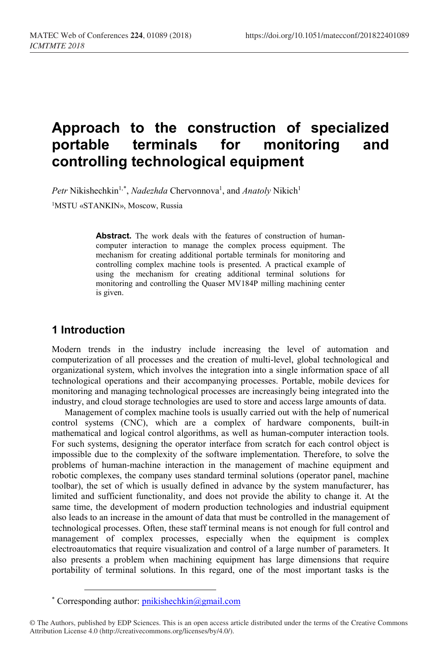# **Approach to the construction of specialized portable terminals for monitoring and controlling technological equipment**

Petr Nikishechkin<sup>1,[\\*](#page-0-0)</sup>, *Nadezhda* Chervonnova<sup>1</sup>, and *Anatoly* Nikich<sup>1</sup>

1MSTU «STANKIN», Moscow, Russia

**Abstract.** The work deals with the features of construction of humancomputer interaction to manage the complex process equipment. The mechanism for creating additional portable terminals for monitoring and controlling complex machine tools is presented. A practical example of using the mechanism for creating additional terminal solutions for monitoring and controlling the Quaser MV184P milling machining center is given.

## **1 Introduction**

Modern trends in the industry include increasing the level of automation and computerization of all processes and the creation of multi-level, global technological and organizational system, which involves the integration into a single information space of all technological operations and their accompanying processes. Portable, mobile devices for monitoring and managing technological processes are increasingly being integrated into the industry, and cloud storage technologies are used to store and access large amounts of data.

Management of complex machine tools is usually carried out with the help of numerical control systems (CNC), which are a complex of hardware components, built-in mathematical and logical control algorithms, as well as human-computer interaction tools. For such systems, designing the operator interface from scratch for each control object is impossible due to the complexity of the software implementation. Therefore, to solve the problems of human-machine interaction in the management of machine equipment and robotic complexes, the company uses standard terminal solutions (operator panel, machine toolbar), the set of which is usually defined in advance by the system manufacturer, has limited and sufficient functionality, and does not provide the ability to change it. At the same time, the development of modern production technologies and industrial equipment also leads to an increase in the amount of data that must be controlled in the management of technological processes. Often, these staff terminal means is not enough for full control and management of complex processes, especially when the equipment is complex electroautomatics that require visualization and control of a large number of parameters. It also presents a problem when machining equipment has large dimensions that require portability of terminal solutions. In this regard, one of the most important tasks is the

<sup>\*</sup> Corresponding author:  $\text{pnikishechkin}(a\text{gmail.com})$ 

<span id="page-0-0"></span><sup>©</sup> The Authors, published by EDP Sciences. This is an open access article distributed under the terms of the Creative Commons Attribution License 4.0 (http://creativecommons.org/licenses/by/4.0/).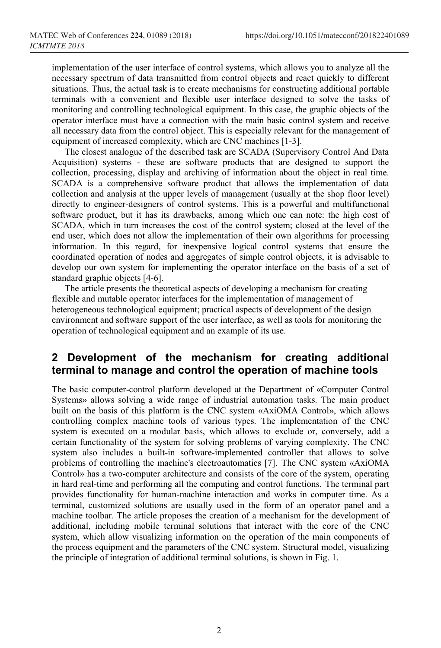implementation of the user interface of control systems, which allows you to analyze all the necessary spectrum of data transmitted from control objects and react quickly to different situations. Thus, the actual task is to create mechanisms for constructing additional portable terminals with a convenient and flexible user interface designed to solve the tasks of monitoring and controlling technological equipment. In this case, the graphic objects of the operator interface must have a connection with the main basic control system and receive all necessary data from the control object. This is especially relevant for the management of equipment of increased complexity, which are CNC machines [1-3].

The closest analogue of the described task are SCADA (Supervisory Control And Data Acquisition) systems - these are software products that are designed to support the collection, processing, display and archiving of information about the object in real time. SCADA is a comprehensive software product that allows the implementation of data collection and analysis at the upper levels of management (usually at the shop floor level) directly to engineer-designers of control systems. This is a powerful and multifunctional software product, but it has its drawbacks, among which one can note: the high cost of SCADA, which in turn increases the cost of the control system; closed at the level of the end user, which does not allow the implementation of their own algorithms for processing information. In this regard, for inexpensive logical control systems that ensure the coordinated operation of nodes and aggregates of simple control objects, it is advisable to develop our own system for implementing the operator interface on the basis of a set of standard graphic objects [4-6].

The article presents the theoretical aspects of developing a mechanism for creating flexible and mutable operator interfaces for the implementation of management of heterogeneous technological equipment; practical aspects of development of the design environment and software support of the user interface, as well as tools for monitoring the operation of technological equipment and an example of its use.

## **2 Development of the mechanism for creating additional terminal to manage and control the operation of machine tools**

The basic computer-control platform developed at the Department of «Computer Control Systems» allows solving a wide range of industrial automation tasks. The main product built on the basis of this platform is the CNC system «AxiOMA Control», which allows controlling complex machine tools of various types. The implementation of the CNC system is executed on a modular basis, which allows to exclude or, conversely, add a certain functionality of the system for solving problems of varying complexity. The CNC system also includes a built-in software-implemented controller that allows to solve problems of controlling the machine's electroautomatics [7]. The CNC system «AxiOMA Control» has a two-computer architecture and consists of the core of the system, operating in hard real-time and performing all the computing and control functions. The terminal part provides functionality for human-machine interaction and works in computer time. As a terminal, customized solutions are usually used in the form of an operator panel and a machine toolbar. The article proposes the creation of a mechanism for the development of additional, including mobile terminal solutions that interact with the core of the CNC system, which allow visualizing information on the operation of the main components of the process equipment and the parameters of the CNC system. Structural model, visualizing the principle of integration of additional terminal solutions, is shown in Fig. 1.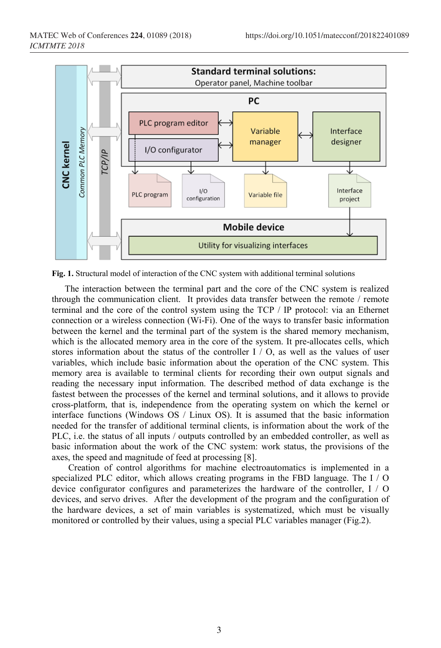

**Fig. 1.** Structural model of interaction of the CNC system with additional terminal solutions

The interaction between the terminal part and the core of the CNC system is realized through the communication client. It provides data transfer between the remote / remote terminal and the core of the control system using the TCP / IP protocol: via an Ethernet connection or a wireless connection (Wi-Fi). One of the ways to transfer basic information between the kernel and the terminal part of the system is the shared memory mechanism, which is the allocated memory area in the core of the system. It pre-allocates cells, which stores information about the status of the controller I / O, as well as the values of user variables, which include basic information about the operation of the CNC system. This memory area is available to terminal clients for recording their own output signals and reading the necessary input information. The described method of data exchange is the fastest between the processes of the kernel and terminal solutions, and it allows to provide cross-platform, that is, independence from the operating system on which the kernel or interface functions (Windows OS / Linux OS). It is assumed that the basic information needed for the transfer of additional terminal clients, is information about the work of the PLC, i.e. the status of all inputs / outputs controlled by an embedded controller, as well as basic information about the work of the CNC system: work status, the provisions of the axes, the speed and magnitude of feed at processing [8].

Creation of control algorithms for machine electroautomatics is implemented in a specialized PLC editor, which allows creating programs in the FBD language. The I / O device configurator configures and parameterizes the hardware of the controller, I / O devices, and servo drives. After the development of the program and the configuration of the hardware devices, a set of main variables is systematized, which must be visually monitored or controlled by their values, using a special PLC variables manager (Fig.2).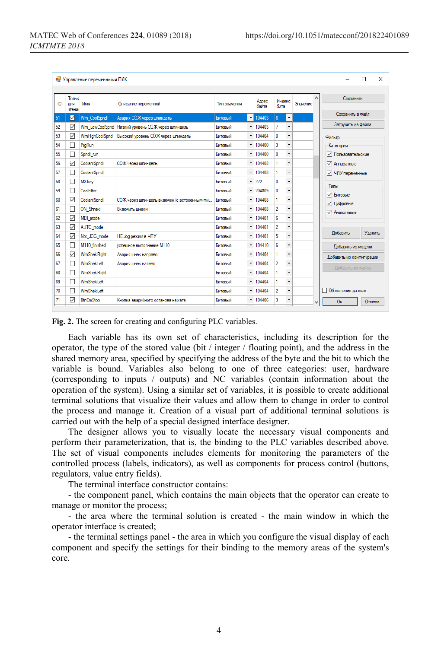| <b>••</b> Управление переменными ПЛК<br>X<br>П |                        |                       |                                             |              |                          |                |                |                          |                                 |  |                                |
|------------------------------------------------|------------------------|-----------------------|---------------------------------------------|--------------|--------------------------|----------------|----------------|--------------------------|---------------------------------|--|--------------------------------|
| ID                                             | Тольк<br>для<br>чтения | Имя                   | Описание переменной                         | Тип значения |                          | Anpec<br>байта | Индекс<br>бита |                          | $\hat{\phantom{a}}$<br>Значение |  | Сохранить                      |
| 51                                             | ☑                      | Wm CoolSpndl          | Авария СОЖ через шпиндель                   | Битовый      | $\scriptstyle\star$      | 104403         | 6 <sup>1</sup> | $\star$                  |                                 |  | Сохранить в файл               |
| 52                                             | ✓                      | Wm LowCoolSpnd        | Низкий уровень СОЖ через шпиндель           | Битовый      | ٠                        | 104403         | 7              | $\bar{\mathbf{v}}$       |                                 |  | Загрузить из файла             |
| 53                                             | $\checkmark$           | <b>WmHighCoolSpnd</b> | Высокий уровень СОЖ через шпиндель          | Битовый      | $\checkmark$             | 104404         | 0              | $\!\star\!$              |                                 |  | Фильтр                         |
| 54                                             | Г                      | PraRun                |                                             | Битовый      | $\!\star\!$              | 104400         | 3              | ٠                        |                                 |  | Категория                      |
| 55                                             | Γ,                     | Spndl run             |                                             | Битовый      | $\checkmark$             | 104400         | 0              |                          |                                 |  | √ Пользовательские             |
| 56                                             | ✓                      | Coolant Sondl         | СОЖ через шпиндель                          | Битовый      | $\overline{\phantom{a}}$ | 104408         | 1.             | $\overline{\phantom{a}}$ |                                 |  | √ Аппаратные                   |
| 57                                             | г                      | Coolant Spndl         |                                             | Битовый      | $\check{}$               | 104408         | 1              | $\overline{\phantom{a}}$ |                                 |  | √ ЧПУ переменные               |
| 58                                             | П                      | M3-kev                |                                             | Битовый      | $\overline{\phantom{a}}$ | 272            | $\mathbf{0}$   | $\overline{\phantom{a}}$ |                                 |  | Типы                           |
| 59                                             | Г                      | CoolFilter            |                                             | Битовый      | $\check{}$               | 204809         | 0              | $\!\star\!$              |                                 |  | ☑<br>Битовые                   |
| 60                                             | $\checkmark$           | Coolant Sondl         | СОЖ через шпиндель включен (с встроенным фи | Битовый      | $\overline{\phantom{a}}$ | 104408         | 1.             | $\!\star$                |                                 |  | ☑<br>Цифровые                  |
| 61                                             | Г                      | ON Shneki             | Включить шнеки                              | Битовый      | $\!\star\!$              | 104408         | $\overline{2}$ | $\!\star$                |                                 |  | ☑<br>Аналоговые                |
| 62                                             | $\checkmark$           | MDI mode              |                                             | Битовый      | $\blacktriangledown$     | 104401         | 6              | ٠                        |                                 |  |                                |
| 63                                             | $\checkmark$           | AUTO_mode             |                                             | Битовый      | $\!\star\!$              | 104401         | $\overline{2}$ | $\overline{\phantom{a}}$ |                                 |  |                                |
| 64                                             | $\checkmark$           | Not JOG mode          | <b>НЕ Јод режим в ЧПУ</b>                   | Битовый      | $\check{}$               | 104401         | 5              | $\overline{\phantom{a}}$ |                                 |  | Добавить<br>Удалить            |
| 65                                             | П                      | M110 finished         | <b>успешное выполнение M110</b>             | Битовый      | $\overline{\phantom{a}}$ | 104410         | 6              | $\overline{\phantom{a}}$ |                                 |  | Добавить из модели             |
| 66                                             | ✓                      | <b>WmShekRight</b>    | Авария шнек направо                         | Битовый      | $\blacktriangledown$     | 104404         | 1              | $\!\star\!$              |                                 |  | Добавить из конфигурации       |
| 67                                             | Г                      | WmShekLeft            | Авария шнек налево                          | Битовый      | $\overline{\phantom{a}}$ | 104404         | $\overline{2}$ | $\overline{\phantom{a}}$ |                                 |  | Добавить из файла              |
| 68                                             | г                      | <b>WmShekRight</b>    |                                             | Битовый      | $\check{}$               | 104404         | 1              | $\blacktriangledown$     |                                 |  |                                |
| 69                                             | Г                      | WmShekLeft            |                                             | Битовый      | $\overline{\phantom{a}}$ | 104404         | 1              | $\overline{\mathbf{r}}$  |                                 |  |                                |
| 70                                             | Г                      | WmShekLeft            |                                             | Битовый      | $\blacktriangledown$     | 104404         | $\overline{2}$ | $\overline{\phantom{a}}$ |                                 |  | Обновление данных              |
| 71                                             | ✓                      | <b>BtnEmStop</b>      | Кнопка аварийного останова нажата           | Битовый      | $\overline{\phantom{a}}$ | 104406         | 3              | ٠                        | $\checkmark$                    |  | <b>O<sub>K</sub></b><br>Отмена |

**Fig. 2.** The screen for creating and configuring PLC variables.

Each variable has its own set of characteristics, including its description for the operator, the type of the stored value (bit / integer / floating point), and the address in the shared memory area, specified by specifying the address of the byte and the bit to which the variable is bound. Variables also belong to one of three categories: user, hardware (corresponding to inputs / outputs) and NC variables (contain information about the operation of the system). Using a similar set of variables, it is possible to create additional terminal solutions that visualize their values and allow them to change in order to control the process and manage it. Creation of a visual part of additional terminal solutions is carried out with the help of a special designed interface designer.

The designer allows you to visually locate the necessary visual components and perform their parameterization, that is, the binding to the PLC variables described above. The set of visual components includes elements for monitoring the parameters of the controlled process (labels, indicators), as well as components for process control (buttons, regulators, value entry fields).

The terminal interface constructor contains:

- the component panel, which contains the main objects that the operator can create to manage or monitor the process;

- the area where the terminal solution is created - the main window in which the operator interface is created;

- the terminal settings panel - the area in which you configure the visual display of each component and specify the settings for their binding to the memory areas of the system's core.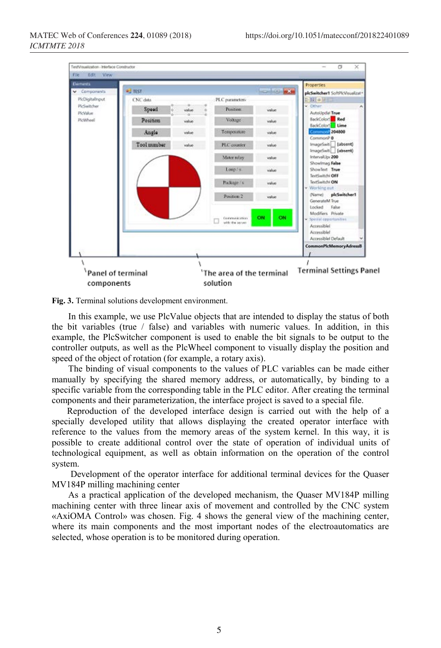

**Fig. 3.** Terminal solutions development environment.

In this example, we use PlcValue objects that are intended to display the status of both the bit variables (true  $/$  false) and variables with numeric values. In addition, in this example, the PlcSwitcher component is used to enable the bit signals to be output to the controller outputs, as well as the PlcWheel component to visually display the position and speed of the object of rotation (for example, a rotary axis).

The binding of visual components to the values of PLC variables can be made either manually by specifying the shared memory address, or automatically, by binding to a specific variable from the corresponding table in the PLC editor. After creating the terminal components and their parameterization, the interface project is saved to a special file.

Reproduction of the developed interface design is carried out with the help of a specially developed utility that allows displaying the created operator interface with reference to the values from the memory areas of the system kernel. In this way, it is possible to create additional control over the state of operation of individual units of technological equipment, as well as obtain information on the operation of the control system.

Development of the operator interface for additional terminal devices for the Quaser MV184P milling machining center

As a practical application of the developed mechanism, the Quaser MV184P milling machining center with three linear axis of movement and controlled by the CNC system «AxiOMA Control» was chosen. Fig. 4 shows the general view of the machining center, where its main components and the most important nodes of the electroautomatics are selected, whose operation is to be monitored during operation.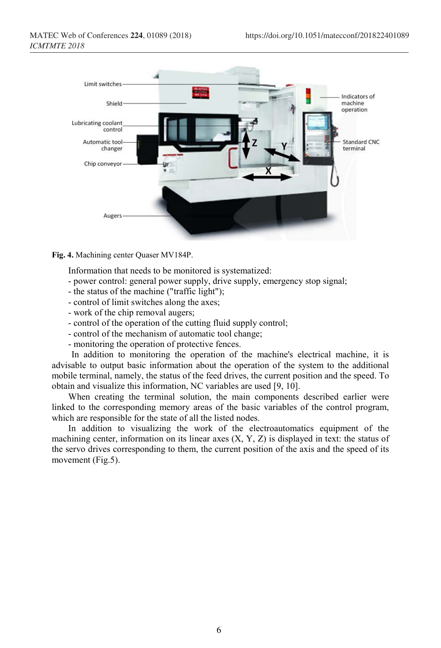

**Fig. 4.** Machining center Quaser MV184P.

Information that needs to be monitored is systematized:

- power control: general power supply, drive supply, emergency stop signal;
- the status of the machine ("traffic light");
- control of limit switches along the axes;
- work of the chip removal augers;
- control of the operation of the cutting fluid supply control;
- control of the mechanism of automatic tool change;
- monitoring the operation of protective fences.

In addition to monitoring the operation of the machine's electrical machine, it is advisable to output basic information about the operation of the system to the additional mobile terminal, namely, the status of the feed drives, the current position and the speed. To obtain and visualize this information, NC variables are used [9, 10].

When creating the terminal solution, the main components described earlier were linked to the corresponding memory areas of the basic variables of the control program, which are responsible for the state of all the listed nodes.

In addition to visualizing the work of the electroautomatics equipment of the machining center, information on its linear axes  $(X, Y, Z)$  is displayed in text: the status of the servo drives corresponding to them, the current position of the axis and the speed of its movement (Fig.5).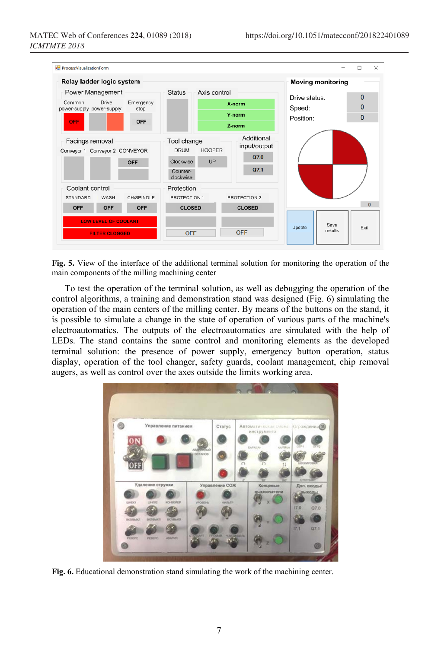

**Fig. 5.** View of the interface of the additional terminal solution for monitoring the operation of the main components of the milling machining center

To test the operation of the terminal solution, as well as debugging the operation of the control algorithms, a training and demonstration stand was designed (Fig. 6) simulating the operation of the main centers of the milling center. By means of the buttons on the stand, it is possible to simulate a change in the state of operation of various parts of the machine's electroautomatics. The outputs of the electroautomatics are simulated with the help of LEDs. The stand contains the same control and monitoring elements as the developed terminal solution: the presence of power supply, emergency button operation, status display, operation of the tool changer, safety guards, coolant management, chip removal augers, as well as control over the axes outside the limits working area.



**Fig. 6.** Educational demonstration stand simulating the work of the machining center.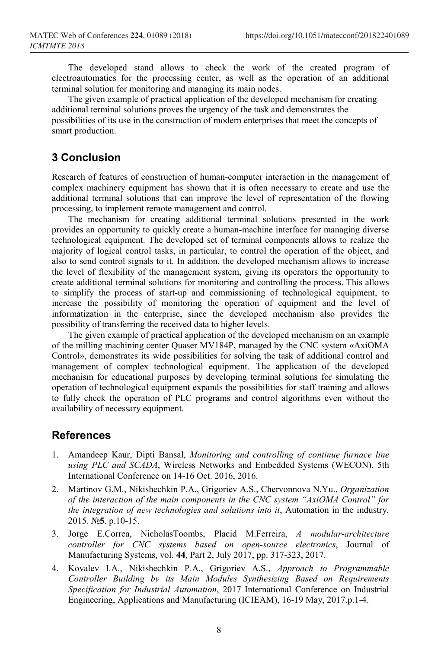The developed stand allows to check the work of the created program of electroautomatics for the processing center, as well as the operation of an additional terminal solution for monitoring and managing its main nodes.

The given example of practical application of the developed mechanism for creating additional terminal solutions proves the urgency of the task and demonstrates the possibilities of its use in the construction of modern enterprises that meet the concepts of smart production.

#### **3 Conclusion**

Research of features of construction of human-computer interaction in the management of complex machinery equipment has shown that it is often necessary to create and use the additional terminal solutions that can improve the level of representation of the flowing processing, to implement remote management and control.

The mechanism for creating additional terminal solutions presented in the work provides an opportunity to quickly create a human-machine interface for managing diverse technological equipment. The developed set of terminal components allows to realize the majority of logical control tasks, in particular, to control the operation of the object, and also to send control signals to it. In addition, the developed mechanism allows to increase the level of flexibility of the management system, giving its operators the opportunity to create additional terminal solutions for monitoring and controlling the process. This allows to simplify the process of start-up and commissioning of technological equipment, to increase the possibility of monitoring the operation of equipment and the level of informatization in the enterprise, since the developed mechanism also provides the possibility of transferring the received data to higher levels.

The given example of practical application of the developed mechanism on an example of the milling machining center Quaser MV184P, managed by the CNC system «AxiOMA Control», demonstrates its wide possibilities for solving the task of additional control and management of complex technological equipment. The application of the developed mechanism for educational purposes by developing terminal solutions for simulating the operation of technological equipment expands the possibilities for staff training and allows to fully check the operation of PLC programs and control algorithms even without the availability of necessary equipment.

#### **References**

- 1. Amandeep Kaur, Dipti Bansal, *Monitoring and controlling of continue furnace line using PLC and SCADA*, Wireless Networks and Embedded Systems (WECON), 5th International Conference on 14-16 Oct. 2016, 2016.
- 2. Martinov G.M., Nikishechkin P.A., Grigoriev A.S., Chervonnova N.Yu., *Organization of the interaction of the main components in the CNC system "AxiOMA Control" for the integration of new technologies and solutions into it*, Automation in the industry. 2015. №**5**. p.10-15.
- 3. Jorge E.Correa, NicholasToombs, Placid M.Ferreira, *A modular-architecture controller for CNC systems based on open-source electronics*, Journal of Manufacturing Systems, vol. **44**, Part 2, July 2017, pp. 317-323, 2017.
- 4. Kovalev I.A., Nikishechkin P.A., Grigoriev A.S., *Approach to Programmable Controller Building by its Main Modules Synthesizing Based on Requirements Specification for Industrial Automation*, 2017 International Conference on Industrial Engineering, Applications and Manufacturing (ICIEAM), 16-19 May, 2017.p.1-4.